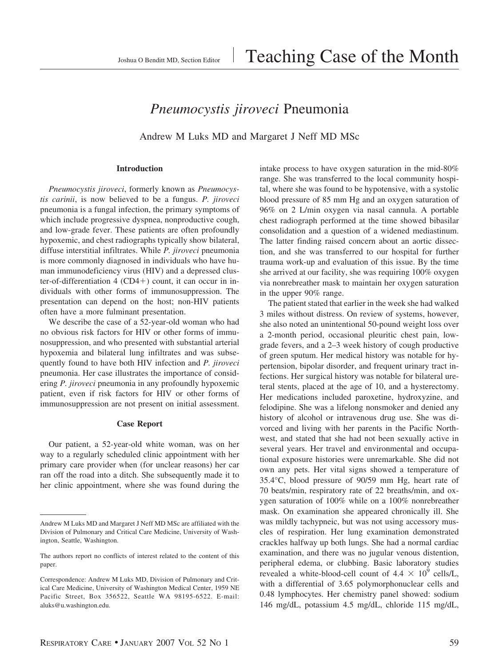# *Pneumocystis jiroveci* Pneumonia

Andrew M Luks MD and Margaret J Neff MD MSc

## **Introduction**

*Pneumocystis jiroveci*, formerly known as *Pneumocystis carinii*, is now believed to be a fungus. *P. jiroveci* pneumonia is a fungal infection, the primary symptoms of which include progressive dyspnea, nonproductive cough, and low-grade fever. These patients are often profoundly hypoxemic, and chest radiographs typically show bilateral, diffuse interstitial infiltrates. While *P. jiroveci* pneumonia is more commonly diagnosed in individuals who have human immunodeficiency virus (HIV) and a depressed cluster-of-differentiation  $4 (CD4+)$  count, it can occur in individuals with other forms of immunosuppression. The presentation can depend on the host; non-HIV patients often have a more fulminant presentation.

We describe the case of a 52-year-old woman who had no obvious risk factors for HIV or other forms of immunosuppression, and who presented with substantial arterial hypoxemia and bilateral lung infiltrates and was subsequently found to have both HIV infection and *P. jiroveci* pneumonia. Her case illustrates the importance of considering *P. jiroveci* pneumonia in any profoundly hypoxemic patient, even if risk factors for HIV or other forms of immunosuppression are not present on initial assessment.

#### **Case Report**

Our patient, a 52-year-old white woman, was on her way to a regularly scheduled clinic appointment with her primary care provider when (for unclear reasons) her car ran off the road into a ditch. She subsequently made it to her clinic appointment, where she was found during the intake process to have oxygen saturation in the mid-80% range. She was transferred to the local community hospital, where she was found to be hypotensive, with a systolic blood pressure of 85 mm Hg and an oxygen saturation of 96% on 2 L/min oxygen via nasal cannula. A portable chest radiograph performed at the time showed bibasilar consolidation and a question of a widened mediastinum. The latter finding raised concern about an aortic dissection, and she was transferred to our hospital for further trauma work-up and evaluation of this issue. By the time she arrived at our facility, she was requiring 100% oxygen via nonrebreather mask to maintain her oxygen saturation in the upper 90% range.

The patient stated that earlier in the week she had walked 3 miles without distress. On review of systems, however, she also noted an unintentional 50-pound weight loss over a 2-month period, occasional pleuritic chest pain, lowgrade fevers, and a 2–3 week history of cough productive of green sputum. Her medical history was notable for hypertension, bipolar disorder, and frequent urinary tract infections. Her surgical history was notable for bilateral ureteral stents, placed at the age of 10, and a hysterectomy. Her medications included paroxetine, hydroxyzine, and felodipine. She was a lifelong nonsmoker and denied any history of alcohol or intravenous drug use. She was divorced and living with her parents in the Pacific Northwest, and stated that she had not been sexually active in several years. Her travel and environmental and occupational exposure histories were unremarkable. She did not own any pets. Her vital signs showed a temperature of 35.4°C, blood pressure of 90/59 mm Hg, heart rate of 70 beats/min, respiratory rate of 22 breaths/min, and oxygen saturation of 100% while on a 100% nonrebreather mask. On examination she appeared chronically ill. She was mildly tachypneic, but was not using accessory muscles of respiration. Her lung examination demonstrated crackles halfway up both lungs. She had a normal cardiac examination, and there was no jugular venous distention, peripheral edema, or clubbing. Basic laboratory studies revealed a white-blood-cell count of  $4.4 \times 10^9$  cells/L, with a differential of 3.65 polymorphonuclear cells and 0.48 lymphocytes. Her chemistry panel showed: sodium 146 mg/dL, potassium 4.5 mg/dL, chloride 115 mg/dL,

Andrew M Luks MD and Margaret J Neff MD MSc are affiliated with the Division of Pulmonary and Critical Care Medicine, University of Washington, Seattle, Washington.

The authors report no conflicts of interest related to the content of this paper.

Correspondence: Andrew M Luks MD, Division of Pulmonary and Critical Care Medicine, University of Washington Medical Center, 1959 NE Pacific Street, Box 356522, Seattle WA 98195-6522. E-mail: aluks@u.washington.edu.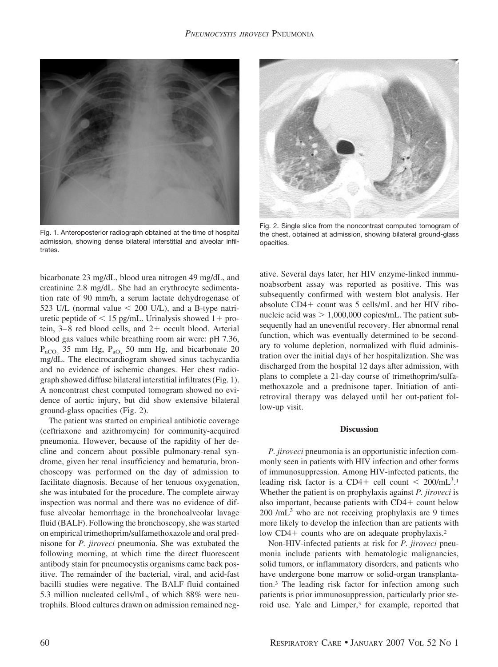

Fig. 1. Anteroposterior radiograph obtained at the time of hospital admission, showing dense bilateral interstitial and alveolar infiltrates.

bicarbonate 23 mg/dL, blood urea nitrogen 49 mg/dL, and creatinine 2.8 mg/dL. She had an erythrocyte sedimentation rate of 90 mm/h, a serum lactate dehydrogenase of 523 U/L (normal value  $\leq$  200 U/L), and a B-type natriuretic peptide of  $\leq 15$  pg/mL. Urinalysis showed 1+ protein,  $3-8$  red blood cells, and  $2+$  occult blood. Arterial blood gas values while breathing room air were: pH 7.36,  $P_{aCO}$ , 35 mm Hg,  $P_{aO}$ , 50 mm Hg, and bicarbonate 20 mg/dL. The electrocardiogram showed sinus tachycardia and no evidence of ischemic changes. Her chest radiograph showed diffuse bilateral interstitial infiltrates (Fig. 1). A noncontrast chest computed tomogram showed no evidence of aortic injury, but did show extensive bilateral ground-glass opacities (Fig. 2).

The patient was started on empirical antibiotic coverage (ceftriaxone and azithromycin) for community-acquired pneumonia. However, because of the rapidity of her decline and concern about possible pulmonary-renal syndrome, given her renal insufficiency and hematuria, bronchoscopy was performed on the day of admission to facilitate diagnosis. Because of her tenuous oxygenation, she was intubated for the procedure. The complete airway inspection was normal and there was no evidence of diffuse alveolar hemorrhage in the bronchoalveolar lavage fluid (BALF). Following the bronchoscopy, she was started on empirical trimethoprim/sulfamethoxazole and oral prednisone for *P. jiroveci* pneumonia. She was extubated the following morning, at which time the direct fluorescent antibody stain for pneumocystis organisms came back positive. The remainder of the bacterial, viral, and acid-fast bacilli studies were negative. The BALF fluid contained 5.3 million nucleated cells/mL, of which 88% were neutrophils. Blood cultures drawn on admission remained neg-



Fig. 2. Single slice from the noncontrast computed tomogram of the chest, obtained at admission, showing bilateral ground-glass opacities.

ative. Several days later, her HIV enzyme-linked inmmunoabsorbent assay was reported as positive. This was subsequently confirmed with western blot analysis. Her absolute  $CD4+$  count was 5 cells/mL and her HIV ribonucleic acid was  $> 1,000,000$  copies/mL. The patient subsequently had an uneventful recovery. Her abnormal renal function, which was eventually determined to be secondary to volume depletion, normalized with fluid administration over the initial days of her hospitalization. She was discharged from the hospital 12 days after admission, with plans to complete a 21-day course of trimethoprim/sulfamethoxazole and a prednisone taper. Initiation of antiretroviral therapy was delayed until her out-patient follow-up visit.

### **Discussion**

*P. jiroveci* pneumonia is an opportunistic infection commonly seen in patients with HIV infection and other forms of immunosuppression. Among HIV-infected patients, the leading risk factor is a CD4+ cell count <  $200/\text{mL}^3$ .<sup>1</sup> Whether the patient is on prophylaxis against *P. jiroveci* is also important, because patients with  $CD4+$  count below  $200$  /mL<sup>3</sup> who are not receiving prophylaxis are 9 times more likely to develop the infection than are patients with low  $CD4+$  counts who are on adequate prophylaxis.<sup>2</sup>

Non-HIV-infected patients at risk for *P. jiroveci* pneumonia include patients with hematologic malignancies, solid tumors, or inflammatory disorders, and patients who have undergone bone marrow or solid-organ transplantation.3 The leading risk factor for infection among such patients is prior immunosuppression, particularly prior steroid use. Yale and Limper,<sup>3</sup> for example, reported that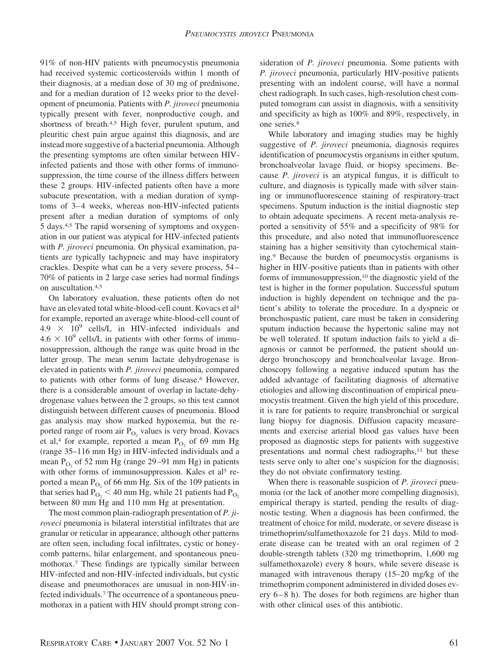91% of non-HIV patients with pneumocystis pneumonia had received systemic corticosteroids within 1 month of their diagnosis, at a median dose of 30 mg of prednisone, and for a median duration of 12 weeks prior to the development of pneumonia. Patients with *P. jiroveci* pneumonia typically present with fever, nonproductive cough, and shortness of breath.<sup>4,5</sup> High fever, purulent sputum, and pleuritic chest pain argue against this diagnosis, and are instead more suggestive of a bacterial pneumonia. Although the presenting symptoms are often similar between HIVinfected patients and those with other forms of immunosuppression, the time course of the illness differs between these 2 groups. HIV-infected patients often have a more subacute presentation, with a median duration of symptoms of 3–4 weeks, whereas non-HIV-infected patients present after a median duration of symptoms of only 5 days.4,5 The rapid worsening of symptoms and oxygenation in our patient was atypical for HIV-infected patients with *P. jiroveci* pneumonia. On physical examination, patients are typically tachypneic and may have inspiratory crackles. Despite what can be a very severe process, 54 – 70% of patients in 2 large case series had normal findings on auscultation.4,5

On laboratory evaluation, these patients often do not have an elevated total white-blood-cell count. Kovacs et al<sup>4</sup> for example, reported an average white-blood-cell count of  $4.9 \times 10^9$  cells/L in HIV-infected individuals and  $4.6 \times 10^9$  cells/L in patients with other forms of immunosuppression, although the range was quite broad in the latter group. The mean serum lactate dehydrogenase is elevated in patients with *P. jiroveci* pneumonia, compared to patients with other forms of lung disease.6 However, there is a considerable amount of overlap in lactate-dehydrogenase values between the 2 groups, so this test cannot distinguish between different causes of pneumonia. Blood gas analysis may show marked hypoxemia, but the reported range of room air  $P_{O<sub>2</sub>}$  values is very broad. Kovacs et al,<sup>4</sup> for example, reported a mean  $P_{O<sub>2</sub>}$  of 69 mm Hg (range 35–116 mm Hg) in HIV-infected individuals and a mean  $P_{O<sub>2</sub>}$  of 52 mm Hg (range 29–91 mm Hg) in patients with other forms of immunosuppression. Kales et al<sup>5</sup> reported a mean  $P_{O<sub>2</sub>}$  of 66 mm Hg. Six of the 109 patients in that series had  $P_{\text{O}_2}$  < 40 mm Hg, while 21 patients had  $P_{\text{O}_2}$ between 80 mm Hg and 110 mm Hg at presentation.

The most common plain-radiograph presentation of *P. jiroveci* pneumonia is bilateral interstitial infiltrates that are granular or reticular in appearance, although other patterns are often seen, including focal infiltrates, cystic or honeycomb patterns, hilar enlargement, and spontaneous pneumothorax.7 These findings are typically similar between HIV-infected and non-HIV-infected individuals, but cystic disease and pneumothoraces are unusual in non-HIV-infected individuals.7 The occurrence of a spontaneous pneumothorax in a patient with HIV should prompt strong consideration of *P. jiroveci* pneumonia. Some patients with *P. jiroveci* pneumonia, particularly HIV-positive patients presenting with an indolent course, will have a normal chest radiograph. In such cases, high-resolution chest computed tomogram can assist in diagnosis, with a sensitivity and specificity as high as 100% and 89%, respectively, in one series.8

While laboratory and imaging studies may be highly suggestive of *P. jiroveci* pneumonia, diagnosis requires identification of pneumocystis organisms in either sputum, bronchoalveolar lavage fluid, or biopsy specimens. Because *P. jiroveci* is an atypical fungus, it is difficult to culture, and diagnosis is typically made with silver staining or immunofluorescence staining of respiratory-tract specimens. Sputum induction is the initial diagnostic step to obtain adequate specimens. A recent meta-analysis reported a sensitivity of 55% and a specificity of 98% for this procedure, and also noted that immunofluorescence staining has a higher sensitivity than cytochemical staining.9 Because the burden of pneumocystis organisms is higher in HIV-positive patients than in patients with other forms of immunosuppression,<sup>10</sup> the diagnostic yield of the test is higher in the former population. Successful sputum induction is highly dependent on technique and the patient's ability to tolerate the procedure. In a dyspneic or bronchospastic patient, care must be taken in considering sputum induction because the hypertonic saline may not be well tolerated. If sputum induction fails to yield a diagnosis or cannot be performed, the patient should undergo bronchoscopy and bronchoalveolar lavage. Bronchoscopy following a negative induced sputum has the added advantage of facilitating diagnosis of alternative etiologies and allowing discontinuation of empirical pneumocystis treatment. Given the high yield of this procedure, it is rare for patients to require transbronchial or surgical lung biopsy for diagnosis. Diffusion capacity measurements and exercise arterial blood gas values have been proposed as diagnostic steps for patients with suggestive presentations and normal chest radiographs,<sup>11</sup> but these tests serve only to alter one's suspicion for the diagnosis; they do not obviate confirmatory testing.

When there is reasonable suspicion of *P. jiroveci* pneumonia (or the lack of another more compelling diagnosis), empirical therapy is started, pending the results of diagnostic testing. When a diagnosis has been confirmed, the treatment of choice for mild, moderate, or severe disease is trimethoprim/sulfamethoxazole for 21 days. Mild to moderate disease can be treated with an oral regimen of 2 double-strength tablets (320 mg trimethoprim, 1,600 mg sulfamethoxazole) every 8 hours, while severe disease is managed with intravenous therapy (15–20 mg/kg of the trimethoprim component administered in divided doses every  $6-8$  h). The doses for both regimens are higher than with other clinical uses of this antibiotic.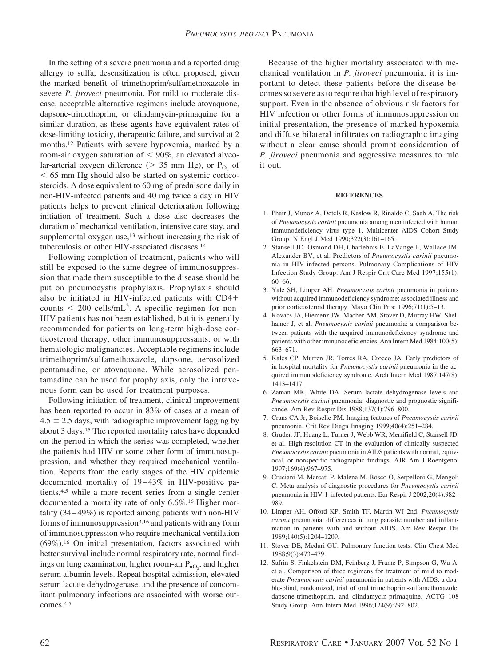In the setting of a severe pneumonia and a reported drug allergy to sulfa, desensitization is often proposed, given the marked benefit of trimethoprim/sulfamethoxazole in severe *P. jiroveci* pneumonia. For mild to moderate disease, acceptable alternative regimens include atovaquone, dapsone-trimethoprim, or clindamycin-primaquine for a similar duration, as these agents have equivalent rates of dose-limiting toxicity, therapeutic failure, and survival at 2 months.12 Patients with severe hypoxemia, marked by a room-air oxygen saturation of  $< 90\%$ , an elevated alveolar-arterial oxygen difference ( $> 35$  mm Hg), or P<sub>O2</sub> of  $65$  mm Hg should also be started on systemic corticosteroids. A dose equivalent to 60 mg of prednisone daily in non-HIV-infected patients and 40 mg twice a day in HIV patients helps to prevent clinical deterioration following initiation of treatment. Such a dose also decreases the duration of mechanical ventilation, intensive care stay, and supplemental oxygen use,<sup>13</sup> without increasing the risk of tuberculosis or other HIV-associated diseases.14

Following completion of treatment, patients who will still be exposed to the same degree of immunosuppression that made them susceptible to the disease should be put on pneumocystis prophylaxis. Prophylaxis should also be initiated in HIV-infected patients with CD4 counts  $\leq 200$  cells/mL<sup>3</sup>. A specific regimen for non-HIV patients has not been established, but it is generally recommended for patients on long-term high-dose corticosteroid therapy, other immunosuppressants, or with hematologic malignancies. Acceptable regimens include trimethoprim/sulfamethoxazole, dapsone, aerosolized pentamadine, or atovaquone. While aerosolized pentamadine can be used for prophylaxis, only the intravenous form can be used for treatment purposes.

Following initiation of treatment, clinical improvement has been reported to occur in 83% of cases at a mean of  $4.5 \pm 2.5$  days, with radiographic improvement lagging by about 3 days.15 The reported mortality rates have depended on the period in which the series was completed, whether the patients had HIV or some other form of immunosuppression, and whether they required mechanical ventilation. Reports from the early stages of the HIV epidemic documented mortality of 19-43% in HIV-positive patients,4,5 while a more recent series from a single center documented a mortality rate of only 6.6%.<sup>16</sup> Higher mortality (34 – 49%) is reported among patients with non-HIV forms of immunosuppression<sup>3,16</sup> and patients with any form of immunosuppression who require mechanical ventilation (69%).16 On initial presentation, factors associated with better survival include normal respiratory rate, normal findings on lung examination, higher room-air  $P_{aO_2}$ , and higher serum albumin levels. Repeat hospital admission, elevated serum lactate dehydrogenase, and the presence of concomitant pulmonary infections are associated with worse outcomes.4,5

Because of the higher mortality associated with mechanical ventilation in *P. jiroveci* pneumonia, it is important to detect these patients before the disease becomes so severe as to require that high level of respiratory support. Even in the absence of obvious risk factors for HIV infection or other forms of immunosuppression on initial presentation, the presence of marked hypoxemia and diffuse bilateral infiltrates on radiographic imaging without a clear cause should prompt consideration of *P. jiroveci* pneumonia and aggressive measures to rule it out.

#### **REFERENCES**

- 1. Phair J, Munoz A, Detels R, Kaslow R, Rinaldo C, Saah A. The risk of *Pneumocystis carinii* pneumonia among men infected with human immunodeficiency virus type 1. Multicenter AIDS Cohort Study Group. N Engl J Med 1990;322(3):161–165.
- 2. Stansell JD, Osmond DH, Charlebois E, LaVange L, Wallace JM, Alexander BV, et al. Predictors of *Pneumocystis carinii* pneumonia in HIV-infected persons. Pulmonary Complications of HIV Infection Study Group. Am J Respir Crit Care Med 1997;155(1): 60–66.
- 3. Yale SH, Limper AH. *Pneumocystis carinii* pneumonia in patients without acquired immunodeficiency syndrome: associated illness and prior corticosteroid therapy. Mayo Clin Proc 1996;71(1):5–13.
- 4. Kovacs JA, Hiemenz JW, Macher AM, Stover D, Murray HW, Shelhamer J, et al. *Pneumocystis carinii* pneumonia: a comparison between patients with the acquired immunodeficiency syndrome and patients with other immunodeficiencies. Ann Intern Med 1984;100(5): 663–671.
- 5. Kales CP, Murren JR, Torres RA, Crocco JA. Early predictors of in-hospital mortality for *Pneumocystis carinii* pneumonia in the acquired immunodeficiency syndrome. Arch Intern Med 1987;147(8): 1413–1417.
- 6. Zaman MK, White DA. Serum lactate dehydrogenase levels and *Pneumocystis carinii* pneumonia: diagnostic and prognostic significance. Am Rev Respir Dis 1988;137(4):796–800.
- 7. Crans CA Jr, Boiselle PM. Imaging features of *Pneumocystis carinii* pneumonia. Crit Rev Diagn Imaging 1999;40(4):251–284.
- 8. Gruden JF, Huang L, Turner J, Webb WR, Merrifield C, Stansell JD, et al. High-resolution CT in the evaluation of clinically suspected *Pneumocystis carinii* pneumonia in AIDS patients with normal, equivocal, or nonspecific radiographic findings. AJR Am J Roentgenol 1997;169(4):967–975.
- 9. Cruciani M, Marcati P, Malena M, Bosco O, Serpelloni G, Mengoli C. Meta-analysis of diagnostic procedures for *Pneumocystis carinii* pneumonia in HIV-1-infected patients. Eur Respir J 2002;20(4):982– 989.
- 10. Limper AH, Offord KP, Smith TF, Martin WJ 2nd. *Pneumocystis carinii* pneumonia: differences in lung parasite number and inflammation in patients with and without AIDS. Am Rev Respir Dis 1989;140(5):1204–1209.
- 11. Stover DE, Meduri GU. Pulmonary function tests. Clin Chest Med 1988;9(3):473–479.
- 12. Safrin S, Finkelstein DM, Feinberg J, Frame P, Simpson G, Wu A, et al. Comparison of three regimens for treatment of mild to moderate *Pneumocystis carinii* pneumonia in patients with AIDS: a double-blind, randomized, trial of oral trimethoprim-sulfamethoxazole, dapsone-trimethoprim, and clindamycin-primaquine. ACTG 108 Study Group. Ann Intern Med 1996;124(9):792–802.